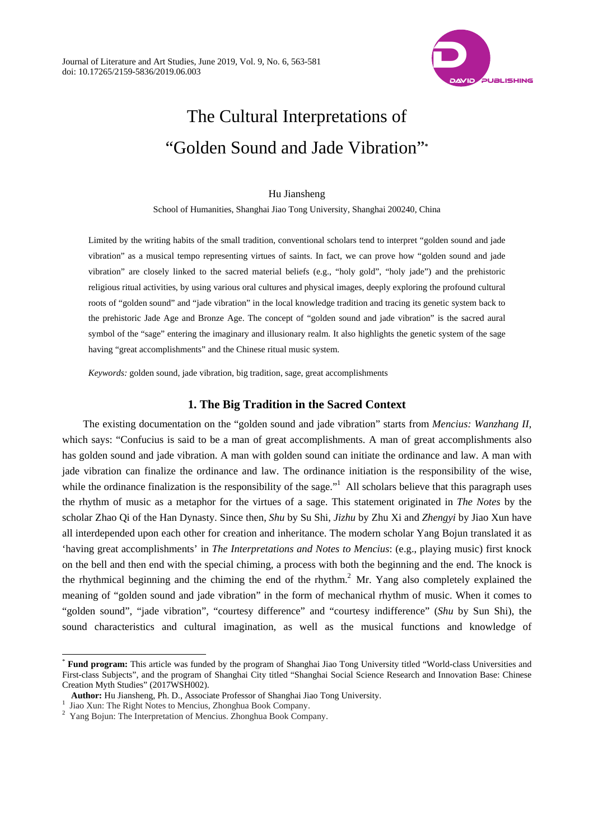

# The Cultural Interpretations of "Golden Sound and Jade Vibration"**\***

# Hu Jiansheng

School of Humanities, Shanghai Jiao Tong University, Shanghai 200240, China

Limited by the writing habits of the small tradition, conventional scholars tend to interpret "golden sound and jade vibration" as a musical tempo representing virtues of saints. In fact, we can prove how "golden sound and jade vibration" are closely linked to the sacred material beliefs (e.g., "holy gold", "holy jade") and the prehistoric religious ritual activities, by using various oral cultures and physical images, deeply exploring the profound cultural roots of "golden sound" and "jade vibration" in the local knowledge tradition and tracing its genetic system back to the prehistoric Jade Age and Bronze Age. The concept of "golden sound and jade vibration" is the sacred aural symbol of the "sage" entering the imaginary and illusionary realm. It also highlights the genetic system of the sage having "great accomplishments" and the Chinese ritual music system.

*Keywords:* golden sound, jade vibration, big tradition, sage, great accomplishments

# **1. The Big Tradition in the Sacred Context**

The existing documentation on the "golden sound and jade vibration" starts from *Mencius: Wanzhang II*, which says: "Confucius is said to be a man of great accomplishments. A man of great accomplishments also has golden sound and jade vibration. A man with golden sound can initiate the ordinance and law. A man with jade vibration can finalize the ordinance and law. The ordinance initiation is the responsibility of the wise, while the ordinance finalization is the responsibility of the sage." All scholars believe that this paragraph uses the rhythm of music as a metaphor for the virtues of a sage. This statement originated in *The Notes* by the scholar Zhao Qi of the Han Dynasty. Since then, *Shu* by Su Shi, *Jizhu* by Zhu Xi and *Zhengyi* by Jiao Xun have all interdepended upon each other for creation and inheritance. The modern scholar Yang Bojun translated it as 'having great accomplishments' in *The Interpretations and Notes to Mencius*: (e.g., playing music) first knock on the bell and then end with the special chiming, a process with both the beginning and the end. The knock is the rhythmical beginning and the chiming the end of the rhythm.<sup>2</sup> Mr. Yang also completely explained the meaning of "golden sound and jade vibration" in the form of mechanical rhythm of music. When it comes to "golden sound", "jade vibration", "courtesy difference" and "courtesy indifference" (*Shu* by Sun Shi), the sound characteristics and cultural imagination, as well as the musical functions and knowledge of

 $\overline{a}$ \* **Fund program:** This article was funded by the program of Shanghai Jiao Tong University titled "World-class Universities and First-class Subjects", and the program of Shanghai City titled "Shanghai Social Science Research and Innovation Base: Chinese Creation Myth Studies" (2017WSH002).<br> **Author:** Hu Jiansheng, Ph. D., Associate Professor of Shanghai Jiao Tong University.

<sup>&</sup>lt;sup>1</sup> Jiao Xun: The Right Notes to Mencius, Zhonghua Book Company. <sup>2</sup> Yang Bojun: The Interpretation of Mencius. Zhonghua Book Company.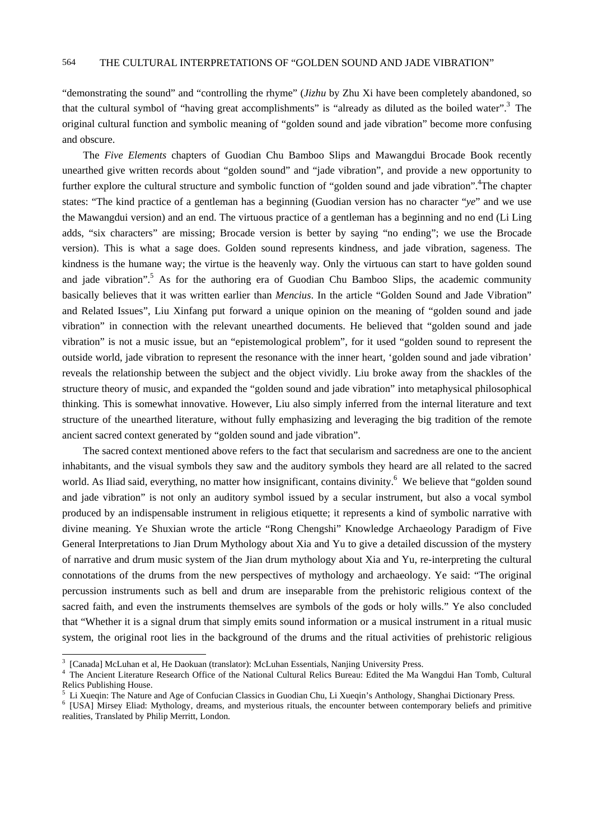"demonstrating the sound" and "controlling the rhyme" (*Jizhu* by Zhu Xi have been completely abandoned, so that the cultural symbol of "having great accomplishments" is "already as diluted as the boiled water".<sup>3</sup> The original cultural function and symbolic meaning of "golden sound and jade vibration" become more confusing and obscure.

The *Five Elements* chapters of Guodian Chu Bamboo Slips and Mawangdui Brocade Book recently unearthed give written records about "golden sound" and "jade vibration", and provide a new opportunity to further explore the cultural structure and symbolic function of "golden sound and jade vibration".<sup>4</sup>The chapter states: "The kind practice of a gentleman has a beginning (Guodian version has no character "*ye*" and we use the Mawangdui version) and an end. The virtuous practice of a gentleman has a beginning and no end (Li Ling adds, "six characters" are missing; Brocade version is better by saying "no ending"; we use the Brocade version). This is what a sage does. Golden sound represents kindness, and jade vibration, sageness. The kindness is the humane way; the virtue is the heavenly way. Only the virtuous can start to have golden sound and jade vibration". As for the authoring era of Guodian Chu Bamboo Slips, the academic community basically believes that it was written earlier than *Mencius*. In the article "Golden Sound and Jade Vibration" and Related Issues", Liu Xinfang put forward a unique opinion on the meaning of "golden sound and jade vibration" in connection with the relevant unearthed documents. He believed that "golden sound and jade vibration" is not a music issue, but an "epistemological problem", for it used "golden sound to represent the outside world, jade vibration to represent the resonance with the inner heart, 'golden sound and jade vibration' reveals the relationship between the subject and the object vividly. Liu broke away from the shackles of the structure theory of music, and expanded the "golden sound and jade vibration" into metaphysical philosophical thinking. This is somewhat innovative. However, Liu also simply inferred from the internal literature and text structure of the unearthed literature, without fully emphasizing and leveraging the big tradition of the remote ancient sacred context generated by "golden sound and jade vibration".

The sacred context mentioned above refers to the fact that secularism and sacredness are one to the ancient inhabitants, and the visual symbols they saw and the auditory symbols they heard are all related to the sacred world. As Iliad said, everything, no matter how insignificant, contains divinity.<sup>6</sup> We believe that "golden sound and jade vibration" is not only an auditory symbol issued by a secular instrument, but also a vocal symbol produced by an indispensable instrument in religious etiquette; it represents a kind of symbolic narrative with divine meaning. Ye Shuxian wrote the article "Rong Chengshi" Knowledge Archaeology Paradigm of Five General Interpretations to Jian Drum Mythology about Xia and Yu to give a detailed discussion of the mystery of narrative and drum music system of the Jian drum mythology about Xia and Yu, re-interpreting the cultural connotations of the drums from the new perspectives of mythology and archaeology. Ye said: "The original percussion instruments such as bell and drum are inseparable from the prehistoric religious context of the sacred faith, and even the instruments themselves are symbols of the gods or holy wills." Ye also concluded that "Whether it is a signal drum that simply emits sound information or a musical instrument in a ritual music system, the original root lies in the background of the drums and the ritual activities of prehistoric religious

<sup>&</sup>lt;sup>3</sup> [Canada] McLuhan et al, He Daokuan (translator): McLuhan Essentials, Nanjing University Press.  $\frac{4}{1}$  The Angient Literature Bessente Office of the National Cultural Belies Bureau: Edited the Me N

<sup>&</sup>lt;sup>4</sup> The Ancient Literature Research Office of the National Cultural Relics Bureau: Edited the Ma Wangdui Han Tomb, Cultural Relics Publishing House.

<sup>5</sup> Li Xueqin: The Nature and Age of Confucian Classics in Guodian Chu, Li Xueqin's Anthology, Shanghai Dictionary Press. 6

<sup>&</sup>lt;sup>6</sup> IUSA] Mirsey Eliad: Mythology, dreams, and mysterious rituals, the encounter between contemporary beliefs and primitive realities, Translated by Philip Merritt, London.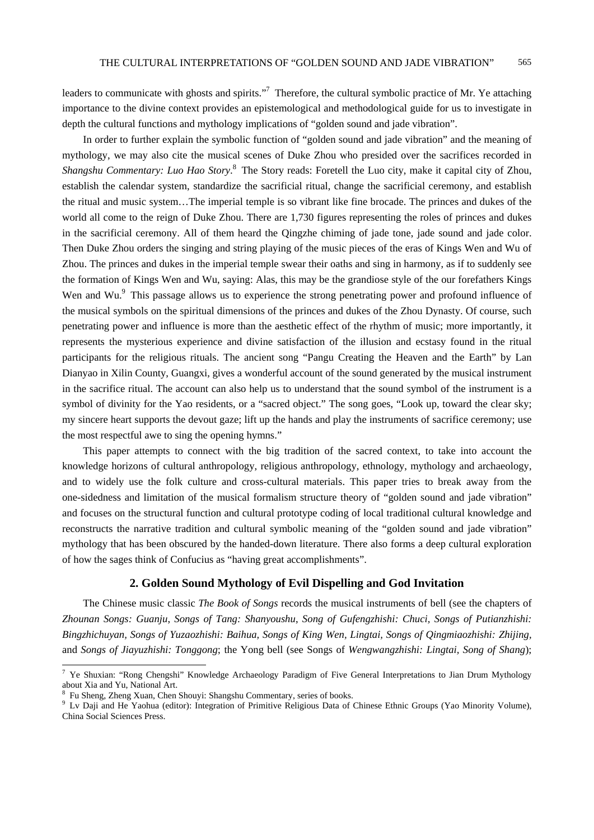leaders to communicate with ghosts and spirits."<sup>7</sup> Therefore, the cultural symbolic practice of Mr. Ye attaching importance to the divine context provides an epistemological and methodological guide for us to investigate in depth the cultural functions and mythology implications of "golden sound and jade vibration".

In order to further explain the symbolic function of "golden sound and jade vibration" and the meaning of mythology, we may also cite the musical scenes of Duke Zhou who presided over the sacrifices recorded in Shangshu Commentary: Luo Hao Story.<sup>8</sup> The Story reads: Foretell the Luo city, make it capital city of Zhou, establish the calendar system, standardize the sacrificial ritual, change the sacrificial ceremony, and establish the ritual and music system…The imperial temple is so vibrant like fine brocade. The princes and dukes of the world all come to the reign of Duke Zhou. There are 1,730 figures representing the roles of princes and dukes in the sacrificial ceremony. All of them heard the Qingzhe chiming of jade tone, jade sound and jade color. Then Duke Zhou orders the singing and string playing of the music pieces of the eras of Kings Wen and Wu of Zhou. The princes and dukes in the imperial temple swear their oaths and sing in harmony, as if to suddenly see the formation of Kings Wen and Wu, saying: Alas, this may be the grandiose style of the our forefathers Kings Wen and Wu.<sup>9</sup> This passage allows us to experience the strong penetrating power and profound influence of the musical symbols on the spiritual dimensions of the princes and dukes of the Zhou Dynasty. Of course, such penetrating power and influence is more than the aesthetic effect of the rhythm of music; more importantly, it represents the mysterious experience and divine satisfaction of the illusion and ecstasy found in the ritual participants for the religious rituals. The ancient song "Pangu Creating the Heaven and the Earth" by Lan Dianyao in Xilin County, Guangxi, gives a wonderful account of the sound generated by the musical instrument in the sacrifice ritual. The account can also help us to understand that the sound symbol of the instrument is a symbol of divinity for the Yao residents, or a "sacred object." The song goes, "Look up, toward the clear sky; my sincere heart supports the devout gaze; lift up the hands and play the instruments of sacrifice ceremony; use the most respectful awe to sing the opening hymns."

This paper attempts to connect with the big tradition of the sacred context, to take into account the knowledge horizons of cultural anthropology, religious anthropology, ethnology, mythology and archaeology, and to widely use the folk culture and cross-cultural materials. This paper tries to break away from the one-sidedness and limitation of the musical formalism structure theory of "golden sound and jade vibration" and focuses on the structural function and cultural prototype coding of local traditional cultural knowledge and reconstructs the narrative tradition and cultural symbolic meaning of the "golden sound and jade vibration" mythology that has been obscured by the handed-down literature. There also forms a deep cultural exploration of how the sages think of Confucius as "having great accomplishments".

## **2. Golden Sound Mythology of Evil Dispelling and God Invitation**

The Chinese music classic *The Book of Songs* records the musical instruments of bell (see the chapters of *Zhounan Songs: Guanju*, *Songs of Tang: Shanyoushu*, *Song of Gufengzhishi: Chuci, Songs of Putianzhishi: Bingzhichuyan, Songs of Yuzaozhishi: Baihua, Songs of King Wen, Lingtai, Songs of Qingmiaozhishi: Zhijing,*  and *Songs of Jiayuzhishi: Tonggong*; the Yong bell (see Songs of *Wengwangzhishi: Lingtai, Song of Shang*);

 7 Ye Shuxian: "Rong Chengshi" Knowledge Archaeology Paradigm of Five General Interpretations to Jian Drum Mythology about Xia and Yu, National Art.

<sup>8</sup> Fu Sheng, Zheng Xuan, Chen Shouyi: Shangshu Commentary, series of books. 9

<sup>&</sup>lt;sup>9</sup> Lv Daji and He Yaohua (editor): Integration of Primitive Religious Data of Chinese Ethnic Groups (Yao Minority Volume), China Social Sciences Press.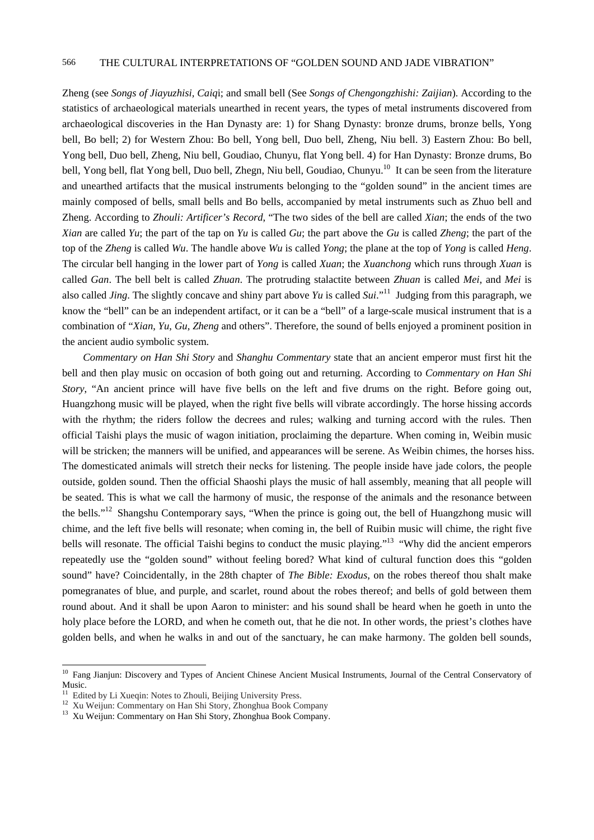Zheng (see *Songs of Jiayuzhisi, Caiq*i; and small bell (See *Songs of Chengongzhishi: Zaijian*). According to the statistics of archaeological materials unearthed in recent years, the types of metal instruments discovered from archaeological discoveries in the Han Dynasty are: 1) for Shang Dynasty: bronze drums, bronze bells, Yong bell, Bo bell; 2) for Western Zhou: Bo bell, Yong bell, Duo bell, Zheng, Niu bell. 3) Eastern Zhou: Bo bell, Yong bell, Duo bell, Zheng, Niu bell, Goudiao, Chunyu, flat Yong bell. 4) for Han Dynasty: Bronze drums, Bo bell, Yong bell, flat Yong bell, Duo bell, Zhegn, Niu bell, Goudiao, Chunyu.<sup>10</sup> It can be seen from the literature and unearthed artifacts that the musical instruments belonging to the "golden sound" in the ancient times are mainly composed of bells, small bells and Bo bells, accompanied by metal instruments such as Zhuo bell and Zheng. According to *Zhouli: Artificer's Record*, "The two sides of the bell are called *Xian*; the ends of the two *Xian* are called *Yu*; the part of the tap on *Yu* is called *Gu*; the part above the *Gu* is called *Zheng*; the part of the top of the *Zheng* is called *Wu*. The handle above *Wu* is called *Yong*; the plane at the top of *Yong* is called *Heng*. The circular bell hanging in the lower part of *Yong* is called *Xuan*; the *Xuanchong* which runs through *Xuan* is called *Gan*. The bell belt is called *Zhuan*. The protruding stalactite between *Zhuan* is called *Mei*, and *Mei* is also called *Jing*. The slightly concave and shiny part above *Yu* is called *Sui*."11 Judging from this paragraph, we know the "bell" can be an independent artifact, or it can be a "bell" of a large-scale musical instrument that is a combination of "*Xian*, *Yu*, *Gu*, *Zheng* and others". Therefore, the sound of bells enjoyed a prominent position in the ancient audio symbolic system.

*Commentary on Han Shi Story* and *Shanghu Commentary* state that an ancient emperor must first hit the bell and then play music on occasion of both going out and returning. According to *Commentary on Han Shi Story*, "An ancient prince will have five bells on the left and five drums on the right. Before going out, Huangzhong music will be played, when the right five bells will vibrate accordingly. The horse hissing accords with the rhythm; the riders follow the decrees and rules; walking and turning accord with the rules. Then official Taishi plays the music of wagon initiation, proclaiming the departure. When coming in, Weibin music will be stricken; the manners will be unified, and appearances will be serene. As Weibin chimes, the horses hiss. The domesticated animals will stretch their necks for listening. The people inside have jade colors, the people outside, golden sound. Then the official Shaoshi plays the music of hall assembly, meaning that all people will be seated. This is what we call the harmony of music, the response of the animals and the resonance between the bells."<sup>12</sup> Shangshu Contemporary says, "When the prince is going out, the bell of Huangzhong music will chime, and the left five bells will resonate; when coming in, the bell of Ruibin music will chime, the right five bells will resonate. The official Taishi begins to conduct the music playing."<sup>13</sup> "Why did the ancient emperors repeatedly use the "golden sound" without feeling bored? What kind of cultural function does this "golden sound" have? Coincidentally, in the 28th chapter of *The Bible: Exodus*, on the robes thereof thou shalt make pomegranates of blue, and purple, and scarlet, round about the robes thereof; and bells of gold between them round about. And it shall be upon Aaron to minister: and his sound shall be heard when he goeth in unto the holy place before the LORD, and when he cometh out, that he die not. In other words, the priest's clothes have golden bells, and when he walks in and out of the sanctuary, he can make harmony. The golden bell sounds,

<sup>&</sup>lt;sup>10</sup> Fang Jianjun: Discovery and Types of Ancient Chinese Ancient Musical Instruments, Journal of the Central Conservatory of Music.<br><sup>11</sup> Edited by Li Xueqin: Notes to Zhouli, Beijing University Press.

<sup>12</sup> Xu Weijun: Commentary on Han Shi Story, Zhonghua Book Company 13 Xu Weijun: Commentary on Han Shi Story, Zhonghua Book Company.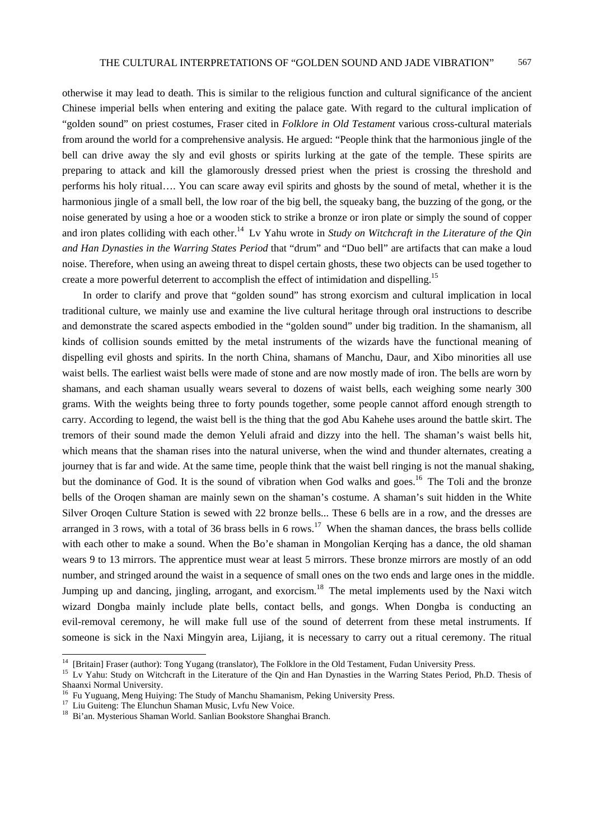otherwise it may lead to death. This is similar to the religious function and cultural significance of the ancient Chinese imperial bells when entering and exiting the palace gate. With regard to the cultural implication of "golden sound" on priest costumes, Fraser cited in *Folklore in Old Testament* various cross-cultural materials from around the world for a comprehensive analysis. He argued: "People think that the harmonious jingle of the bell can drive away the sly and evil ghosts or spirits lurking at the gate of the temple. These spirits are preparing to attack and kill the glamorously dressed priest when the priest is crossing the threshold and performs his holy ritual…. You can scare away evil spirits and ghosts by the sound of metal, whether it is the harmonious jingle of a small bell, the low roar of the big bell, the squeaky bang, the buzzing of the gong, or the noise generated by using a hoe or a wooden stick to strike a bronze or iron plate or simply the sound of copper and iron plates colliding with each other.<sup>14</sup> Lv Yahu wrote in *Study on Witchcraft in the Literature of the Qin and Han Dynasties in the Warring States Period* that "drum" and "Duo bell" are artifacts that can make a loud noise. Therefore, when using an aweing threat to dispel certain ghosts, these two objects can be used together to create a more powerful deterrent to accomplish the effect of intimidation and dispelling.<sup>15</sup>

In order to clarify and prove that "golden sound" has strong exorcism and cultural implication in local traditional culture, we mainly use and examine the live cultural heritage through oral instructions to describe and demonstrate the scared aspects embodied in the "golden sound" under big tradition. In the shamanism, all kinds of collision sounds emitted by the metal instruments of the wizards have the functional meaning of dispelling evil ghosts and spirits. In the north China, shamans of Manchu, Daur, and Xibo minorities all use waist bells. The earliest waist bells were made of stone and are now mostly made of iron. The bells are worn by shamans, and each shaman usually wears several to dozens of waist bells, each weighing some nearly 300 grams. With the weights being three to forty pounds together, some people cannot afford enough strength to carry. According to legend, the waist bell is the thing that the god Abu Kahehe uses around the battle skirt. The tremors of their sound made the demon Yeluli afraid and dizzy into the hell. The shaman's waist bells hit, which means that the shaman rises into the natural universe, when the wind and thunder alternates, creating a journey that is far and wide. At the same time, people think that the waist bell ringing is not the manual shaking, but the dominance of God. It is the sound of vibration when God walks and goes.<sup>16</sup> The Toli and the bronze bells of the Oroqen shaman are mainly sewn on the shaman's costume. A shaman's suit hidden in the White Silver Oroqen Culture Station is sewed with 22 bronze bells... These 6 bells are in a row, and the dresses are arranged in 3 rows, with a total of 36 brass bells in 6 rows.<sup>17</sup> When the shaman dances, the brass bells collide with each other to make a sound. When the Bo'e shaman in Mongolian Kerqing has a dance, the old shaman wears 9 to 13 mirrors. The apprentice must wear at least 5 mirrors. These bronze mirrors are mostly of an odd number, and stringed around the waist in a sequence of small ones on the two ends and large ones in the middle. Jumping up and dancing, jingling, arrogant, and exorcism.<sup>18</sup> The metal implements used by the Naxi witch wizard Dongba mainly include plate bells, contact bells, and gongs. When Dongba is conducting an evil-removal ceremony, he will make full use of the sound of deterrent from these metal instruments. If someone is sick in the Naxi Mingyin area, Lijiang, it is necessary to carry out a ritual ceremony. The ritual

<sup>&</sup>lt;sup>14</sup> [Britain] Fraser (author): Tong Yugang (translator), The Folklore in the Old Testament, Fudan University Press.

<sup>&</sup>lt;sup>15</sup> Lv Yahu: Study on Witchcraft in the Literature of the Qin and Han Dynasties in the Warring States Period, Ph.D. Thesis of Shaanxi Normal University.

<sup>&</sup>lt;sup>16</sup> Fu Yuguang, Meng Huiying: The Study of Manchu Shamanism, Peking University Press.<br><sup>17</sup> Liu Guiteng: The Elunchun Shaman Music, Lvfu New Voice.<br><sup>18</sup> Bi'an. Mysterious Shaman World. Sanlian Bookstore Shanghai Branch.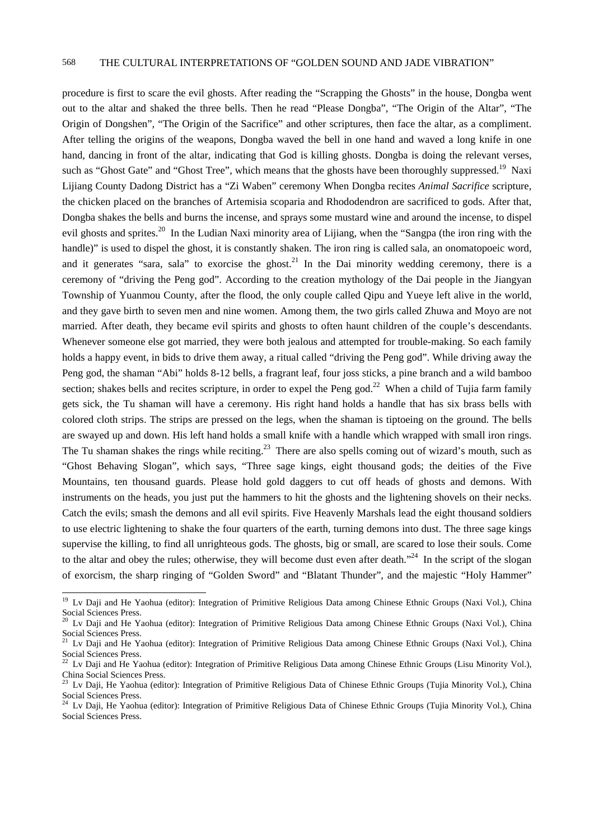procedure is first to scare the evil ghosts. After reading the "Scrapping the Ghosts" in the house, Dongba went out to the altar and shaked the three bells. Then he read "Please Dongba", "The Origin of the Altar", "The Origin of Dongshen", "The Origin of the Sacrifice" and other scriptures, then face the altar, as a compliment. After telling the origins of the weapons, Dongba waved the bell in one hand and waved a long knife in one hand, dancing in front of the altar, indicating that God is killing ghosts. Dongba is doing the relevant verses, such as "Ghost Gate" and "Ghost Tree", which means that the ghosts have been thoroughly suppressed.<sup>19</sup> Naxi Lijiang County Dadong District has a "Zi Waben" ceremony When Dongba recites *Animal Sacrifice* scripture, the chicken placed on the branches of Artemisia scoparia and Rhododendron are sacrificed to gods. After that, Dongba shakes the bells and burns the incense, and sprays some mustard wine and around the incense, to dispel evil ghosts and sprites.<sup>20</sup> In the Ludian Naxi minority area of Lijiang, when the "Sangpa (the iron ring with the handle)" is used to dispel the ghost, it is constantly shaken. The iron ring is called sala, an onomatopoeic word, and it generates "sara, sala" to exorcise the ghost.<sup>21</sup> In the Dai minority wedding ceremony, there is a ceremony of "driving the Peng god". According to the creation mythology of the Dai people in the Jiangyan Township of Yuanmou County, after the flood, the only couple called Qipu and Yueye left alive in the world, and they gave birth to seven men and nine women. Among them, the two girls called Zhuwa and Moyo are not married. After death, they became evil spirits and ghosts to often haunt children of the couple's descendants. Whenever someone else got married, they were both jealous and attempted for trouble-making. So each family holds a happy event, in bids to drive them away, a ritual called "driving the Peng god". While driving away the Peng god, the shaman "Abi" holds 8-12 bells, a fragrant leaf, four joss sticks, a pine branch and a wild bamboo section; shakes bells and recites scripture, in order to expel the Peng god.<sup>22</sup> When a child of Tujia farm family gets sick, the Tu shaman will have a ceremony. His right hand holds a handle that has six brass bells with colored cloth strips. The strips are pressed on the legs, when the shaman is tiptoeing on the ground. The bells are swayed up and down. His left hand holds a small knife with a handle which wrapped with small iron rings. The Tu shaman shakes the rings while reciting.<sup>23</sup> There are also spells coming out of wizard's mouth, such as "Ghost Behaving Slogan", which says, "Three sage kings, eight thousand gods; the deities of the Five Mountains, ten thousand guards. Please hold gold daggers to cut off heads of ghosts and demons. With instruments on the heads, you just put the hammers to hit the ghosts and the lightening shovels on their necks. Catch the evils; smash the demons and all evil spirits. Five Heavenly Marshals lead the eight thousand soldiers to use electric lightening to shake the four quarters of the earth, turning demons into dust. The three sage kings supervise the killing, to find all unrighteous gods. The ghosts, big or small, are scared to lose their souls. Come to the altar and obey the rules; otherwise, they will become dust even after death."<sup>24</sup> In the script of the slogan of exorcism, the sharp ringing of "Golden Sword" and "Blatant Thunder", and the majestic "Holy Hammer"

<sup>&</sup>lt;sup>19</sup> Lv Daji and He Yaohua (editor): Integration of Primitive Religious Data among Chinese Ethnic Groups (Naxi Vol.), China Social Sciences Press.

<sup>&</sup>lt;sup>20</sup> Lv Daji and He Yaohua (editor): Integration of Primitive Religious Data among Chinese Ethnic Groups (Naxi Vol.), China Social Sciences Press.

<sup>21</sup> Lv Daji and He Yaohua (editor): Integration of Primitive Religious Data among Chinese Ethnic Groups (Naxi Vol.), China Social Sciences Press.

 $^{22}$  Lv Daji and He Yaohua (editor): Integration of Primitive Religious Data among Chinese Ethnic Groups (Lisu Minority Vol.), China Social Sciences Press.

<sup>&</sup>lt;sup>23</sup> Lv Daji, He Yaohua (editor): Integration of Primitive Religious Data of Chinese Ethnic Groups (Tujia Minority Vol.), China Social Sciences Press.<br>  $^{24}$  I ... P. ...  $^{24}$ 

<sup>24</sup> Lv Daji, He Yaohua (editor): Integration of Primitive Religious Data of Chinese Ethnic Groups (Tujia Minority Vol.), China Social Sciences Press.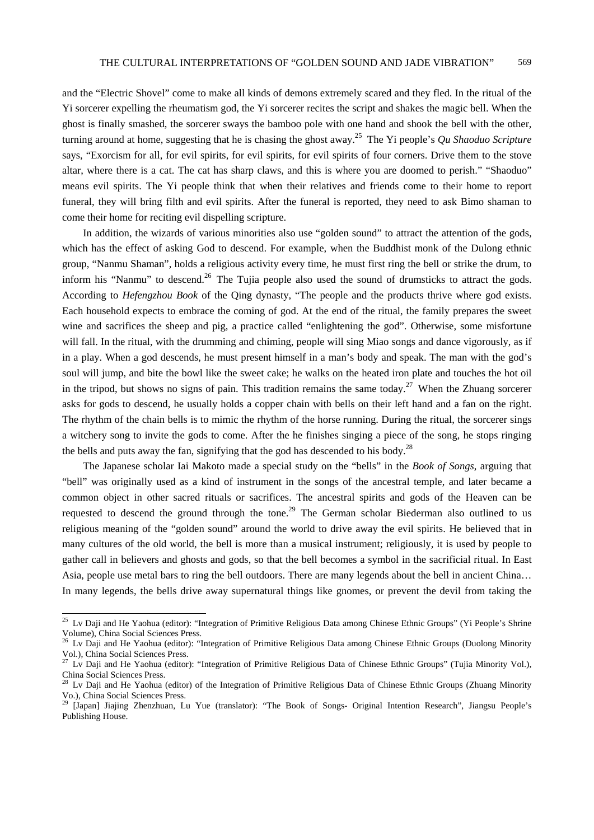and the "Electric Shovel" come to make all kinds of demons extremely scared and they fled. In the ritual of the Yi sorcerer expelling the rheumatism god, the Yi sorcerer recites the script and shakes the magic bell. When the ghost is finally smashed, the sorcerer sways the bamboo pole with one hand and shook the bell with the other, turning around at home, suggesting that he is chasing the ghost away.25 The Yi people's *Qu Shaoduo Scripture* says, "Exorcism for all, for evil spirits, for evil spirits, for evil spirits of four corners. Drive them to the stove altar, where there is a cat. The cat has sharp claws, and this is where you are doomed to perish." "Shaoduo" means evil spirits. The Yi people think that when their relatives and friends come to their home to report funeral, they will bring filth and evil spirits. After the funeral is reported, they need to ask Bimo shaman to come their home for reciting evil dispelling scripture.

In addition, the wizards of various minorities also use "golden sound" to attract the attention of the gods, which has the effect of asking God to descend. For example, when the Buddhist monk of the Dulong ethnic group, "Nanmu Shaman", holds a religious activity every time, he must first ring the bell or strike the drum, to inform his "Nanmu" to descend.<sup>26</sup> The Tujia people also used the sound of drumsticks to attract the gods. According to *Hefengzhou Book* of the Qing dynasty, "The people and the products thrive where god exists. Each household expects to embrace the coming of god. At the end of the ritual, the family prepares the sweet wine and sacrifices the sheep and pig, a practice called "enlightening the god". Otherwise, some misfortune will fall. In the ritual, with the drumming and chiming, people will sing Miao songs and dance vigorously, as if in a play. When a god descends, he must present himself in a man's body and speak. The man with the god's soul will jump, and bite the bowl like the sweet cake; he walks on the heated iron plate and touches the hot oil in the tripod, but shows no signs of pain. This tradition remains the same today.<sup>27</sup> When the Zhuang sorcerer asks for gods to descend, he usually holds a copper chain with bells on their left hand and a fan on the right. The rhythm of the chain bells is to mimic the rhythm of the horse running. During the ritual, the sorcerer sings a witchery song to invite the gods to come. After the he finishes singing a piece of the song, he stops ringing the bells and puts away the fan, signifying that the god has descended to his body.<sup>28</sup>

The Japanese scholar Iai Makoto made a special study on the "bells" in the *Book of Songs*, arguing that "bell" was originally used as a kind of instrument in the songs of the ancestral temple, and later became a common object in other sacred rituals or sacrifices. The ancestral spirits and gods of the Heaven can be requested to descend the ground through the tone.<sup>29</sup> The German scholar Biederman also outlined to us religious meaning of the "golden sound" around the world to drive away the evil spirits. He believed that in many cultures of the old world, the bell is more than a musical instrument; religiously, it is used by people to gather call in believers and ghosts and gods, so that the bell becomes a symbol in the sacrificial ritual. In East Asia, people use metal bars to ring the bell outdoors. There are many legends about the bell in ancient China… In many legends, the bells drive away supernatural things like gnomes, or prevent the devil from taking the

<sup>&</sup>lt;sup>25</sup> Lv Daji and He Yaohua (editor): "Integration of Primitive Religious Data among Chinese Ethnic Groups" (Yi People's Shrine Volume), China Social Sciences Press.

<sup>&</sup>lt;sup>26</sup> Lv Daji and He Yaohua (editor): "Integration of Primitive Religious Data among Chinese Ethnic Groups (Duolong Minority Vol.), China Social Sciences Press.

<sup>&</sup>lt;sup>27</sup> Lv Daji and He Yaohua (editor): "Integration of Primitive Religious Data of Chinese Ethnic Groups" (Tujia Minority Vol.), China Social Sciences Press.

<sup>&</sup>lt;sup>28</sup> Lv Daji and He Yaohua (editor) of the Integration of Primitive Religious Data of Chinese Ethnic Groups (Zhuang Minority Vo.), China Social Sciences Press.

<sup>29 [</sup>Japan] Jiajing Zhenzhuan, Lu Yue (translator): "The Book of Songs- Original Intention Research", Jiangsu People's Publishing House.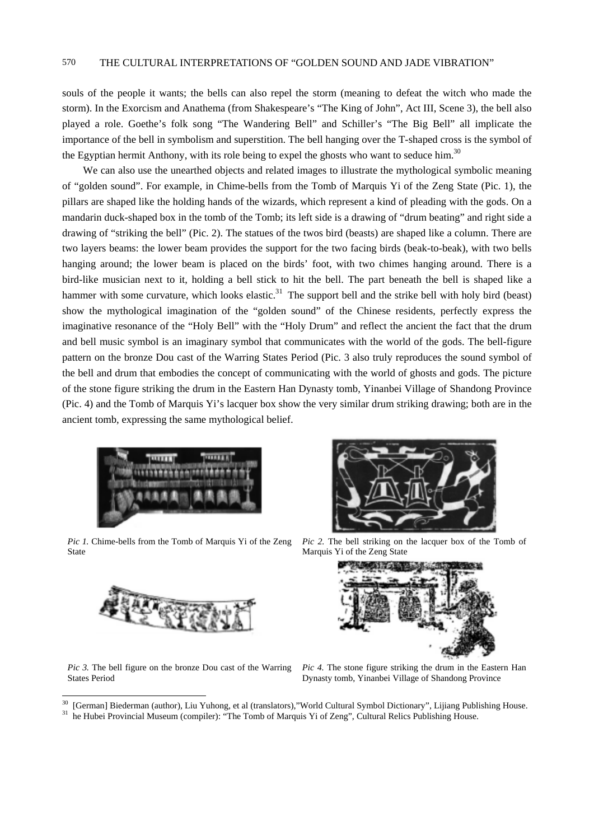souls of the people it wants; the bells can also repel the storm (meaning to defeat the witch who made the storm). In the Exorcism and Anathema (from Shakespeare's "The King of John", Act III, Scene 3), the bell also played a role. Goethe's folk song "The Wandering Bell" and Schiller's "The Big Bell" all implicate the importance of the bell in symbolism and superstition. The bell hanging over the T-shaped cross is the symbol of the Egyptian hermit Anthony, with its role being to expel the ghosts who want to seduce him.<sup>30</sup>

We can also use the unearthed objects and related images to illustrate the mythological symbolic meaning of "golden sound". For example, in Chime-bells from the Tomb of Marquis Yi of the Zeng State (Pic. 1), the pillars are shaped like the holding hands of the wizards, which represent a kind of pleading with the gods. On a mandarin duck-shaped box in the tomb of the Tomb; its left side is a drawing of "drum beating" and right side a drawing of "striking the bell" (Pic. 2). The statues of the twos bird (beasts) are shaped like a column. There are two layers beams: the lower beam provides the support for the two facing birds (beak-to-beak), with two bells hanging around; the lower beam is placed on the birds' foot, with two chimes hanging around. There is a bird-like musician next to it, holding a bell stick to hit the bell. The part beneath the bell is shaped like a hammer with some curvature, which looks elastic. $31$  The support bell and the strike bell with holy bird (beast) show the mythological imagination of the "golden sound" of the Chinese residents, perfectly express the imaginative resonance of the "Holy Bell" with the "Holy Drum" and reflect the ancient the fact that the drum and bell music symbol is an imaginary symbol that communicates with the world of the gods. The bell-figure pattern on the bronze Dou cast of the Warring States Period (Pic. 3 also truly reproduces the sound symbol of the bell and drum that embodies the concept of communicating with the world of ghosts and gods. The picture of the stone figure striking the drum in the Eastern Han Dynasty tomb, Yinanbei Village of Shandong Province (Pic. 4) and the Tomb of Marquis Yi's lacquer box show the very similar drum striking drawing; both are in the ancient tomb, expressing the same mythological belief.



*Pic 1.* Chime-bells from the Tomb of Marquis Yi of the Zeng State



Pic 3. The bell figure on the bronze Dou cast of the Warring Pic 4. The stone figure striking the drum in the Eastern Han States Period



*Pic 2.* The bell striking on the lacquer box of the Tomb of Marquis Yi of the Zeng State



Dynasty tomb, Yinanbei Village of Shandong Province

<sup>30</sup>  $30$  [German] Biederman (author), Liu Yuhong, et al (translators),"World Cultural Symbol Dictionary", Lijiang Publishing House.<br>
<sup>31</sup> he Hubei Provincial Museum (compiler): "The Tomb of Marquis Yi of Zeng", Cultural Relic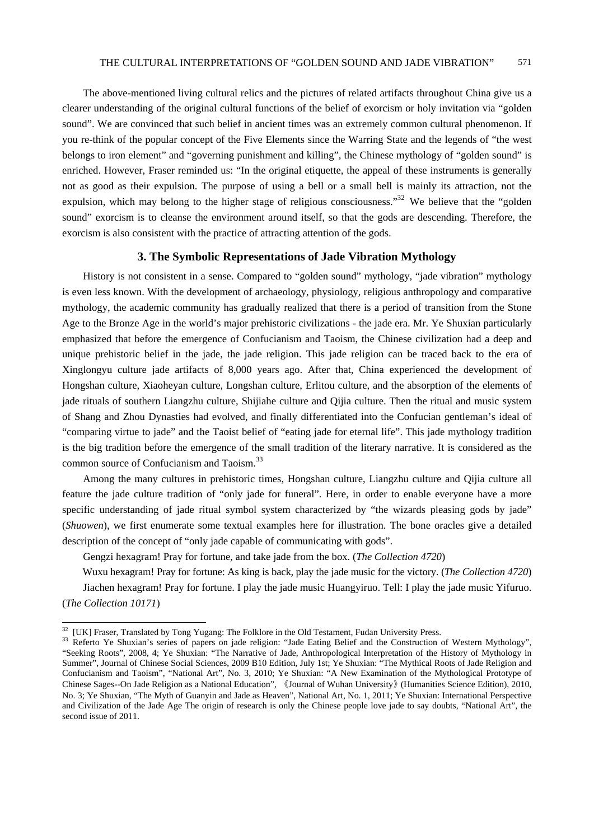The above-mentioned living cultural relics and the pictures of related artifacts throughout China give us a clearer understanding of the original cultural functions of the belief of exorcism or holy invitation via "golden sound". We are convinced that such belief in ancient times was an extremely common cultural phenomenon. If you re-think of the popular concept of the Five Elements since the Warring State and the legends of "the west belongs to iron element" and "governing punishment and killing", the Chinese mythology of "golden sound" is enriched. However, Fraser reminded us: "In the original etiquette, the appeal of these instruments is generally not as good as their expulsion. The purpose of using a bell or a small bell is mainly its attraction, not the expulsion, which may belong to the higher stage of religious consciousness."<sup>32</sup> We believe that the "golden" sound" exorcism is to cleanse the environment around itself, so that the gods are descending. Therefore, the exorcism is also consistent with the practice of attracting attention of the gods.

## **3. The Symbolic Representations of Jade Vibration Mythology**

History is not consistent in a sense. Compared to "golden sound" mythology, "jade vibration" mythology is even less known. With the development of archaeology, physiology, religious anthropology and comparative mythology, the academic community has gradually realized that there is a period of transition from the Stone Age to the Bronze Age in the world's major prehistoric civilizations - the jade era. Mr. Ye Shuxian particularly emphasized that before the emergence of Confucianism and Taoism, the Chinese civilization had a deep and unique prehistoric belief in the jade, the jade religion. This jade religion can be traced back to the era of Xinglongyu culture jade artifacts of 8,000 years ago. After that, China experienced the development of Hongshan culture, Xiaoheyan culture, Longshan culture, Erlitou culture, and the absorption of the elements of jade rituals of southern Liangzhu culture, Shijiahe culture and Qijia culture. Then the ritual and music system of Shang and Zhou Dynasties had evolved, and finally differentiated into the Confucian gentleman's ideal of "comparing virtue to jade" and the Taoist belief of "eating jade for eternal life". This jade mythology tradition is the big tradition before the emergence of the small tradition of the literary narrative. It is considered as the common source of Confucianism and Taoism.<sup>33</sup>

Among the many cultures in prehistoric times, Hongshan culture, Liangzhu culture and Qijia culture all feature the jade culture tradition of "only jade for funeral". Here, in order to enable everyone have a more specific understanding of jade ritual symbol system characterized by "the wizards pleasing gods by jade" (*Shuowen*), we first enumerate some textual examples here for illustration. The bone oracles give a detailed description of the concept of "only jade capable of communicating with gods".

Gengzi hexagram! Pray for fortune, and take jade from the box. (*The Collection 4720*)

Wuxu hexagram! Pray for fortune: As king is back, play the jade music for the victory. (*The Collection 4720*) Jiachen hexagram! Pray for fortune. I play the jade music Huangyiruo. Tell: I play the jade music Yifuruo. (*The Collection 10171*)

<sup>&</sup>lt;sup>32</sup> [UK] Fraser, Translated by Tong Yugang: The Folklore in the Old Testament, Fudan University Press.

<sup>&</sup>lt;sup>33</sup> Referto Ye Shuxian's series of papers on jade religion: "Jade Eating Belief and the Construction of Western Mythology", "Seeking Roots", 2008, 4; Ye Shuxian: "The Narrative of Jade, Anthropological Interpretation of the History of Mythology in Summer", Journal of Chinese Social Sciences, 2009 B10 Edition, July 1st; Ye Shuxian: "The Mythical Roots of Jade Religion and Confucianism and Taoism", "National Art", No. 3, 2010; Ye Shuxian: "A New Examination of the Mythological Prototype of Chinese Sages--On Jade Religion as a National Education", 《Journal of Wuhan University》(Humanities Science Edition), 2010, No. 3; Ye Shuxian, "The Myth of Guanyin and Jade as Heaven", National Art, No. 1, 2011; Ye Shuxian: International Perspective and Civilization of the Jade Age The origin of research is only the Chinese people love jade to say doubts, "National Art", the second issue of 2011.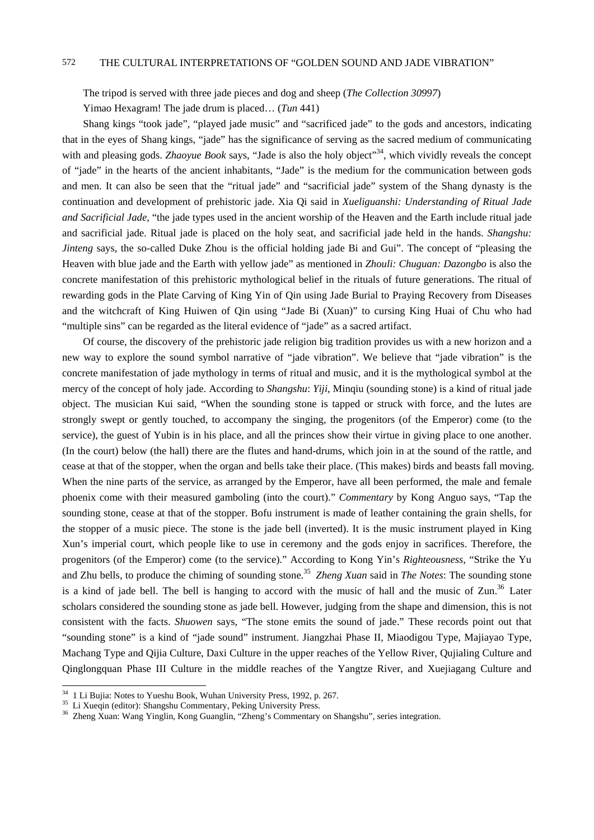The tripod is served with three jade pieces and dog and sheep (*The Collection 30997*)

Yimao Hexagram! The jade drum is placed… (*Tun* 441)

Shang kings "took jade", "played jade music" and "sacrificed jade" to the gods and ancestors, indicating that in the eyes of Shang kings, "jade" has the significance of serving as the sacred medium of communicating with and pleasing gods. *Zhaoyue Book* says, "Jade is also the holy object"<sup>34</sup>, which vividly reveals the concept of "jade" in the hearts of the ancient inhabitants, "Jade" is the medium for the communication between gods and men. It can also be seen that the "ritual jade" and "sacrificial jade" system of the Shang dynasty is the continuation and development of prehistoric jade. Xia Qi said in *Xueliguanshi: Understanding of Ritual Jade and Sacrificial Jade*, "the jade types used in the ancient worship of the Heaven and the Earth include ritual jade and sacrificial jade. Ritual jade is placed on the holy seat, and sacrificial jade held in the hands. *Shangshu: Jinteng* says, the so-called Duke Zhou is the official holding jade Bi and Gui". The concept of "pleasing the Heaven with blue jade and the Earth with yellow jade" as mentioned in *Zhouli: Chuguan: Dazongbo* is also the concrete manifestation of this prehistoric mythological belief in the rituals of future generations. The ritual of rewarding gods in the Plate Carving of King Yin of Qin using Jade Burial to Praying Recovery from Diseases and the witchcraft of King Huiwen of Qin using "Jade Bi (Xuan)" to cursing King Huai of Chu who had "multiple sins" can be regarded as the literal evidence of "jade" as a sacred artifact.

Of course, the discovery of the prehistoric jade religion big tradition provides us with a new horizon and a new way to explore the sound symbol narrative of "jade vibration". We believe that "jade vibration" is the concrete manifestation of jade mythology in terms of ritual and music, and it is the mythological symbol at the mercy of the concept of holy jade. According to *Shangshu*: *Yiji*, Minqiu (sounding stone) is a kind of ritual jade object. The musician Kui said, "When the sounding stone is tapped or struck with force, and the lutes are strongly swept or gently touched, to accompany the singing, the progenitors (of the Emperor) come (to the service), the guest of Yubin is in his place, and all the princes show their virtue in giving place to one another. (In the court) below (the hall) there are the flutes and hand-drums, which join in at the sound of the rattle, and cease at that of the stopper, when the organ and bells take their place. (This makes) birds and beasts fall moving. When the nine parts of the service, as arranged by the Emperor, have all been performed, the male and female phoenix come with their measured gamboling (into the court)." *Commentary* by Kong Anguo says, "Tap the sounding stone, cease at that of the stopper. Bofu instrument is made of leather containing the grain shells, for the stopper of a music piece. The stone is the jade bell (inverted). It is the music instrument played in King Xun's imperial court, which people like to use in ceremony and the gods enjoy in sacrifices. Therefore, the progenitors (of the Emperor) come (to the service)." According to Kong Yin's *Righteousness*, "Strike the Yu and Zhu bells, to produce the chiming of sounding stone.<sup>35</sup> *Zheng Xuan* said in *The Notes*: The sounding stone is a kind of jade bell. The bell is hanging to accord with the music of hall and the music of Zun.<sup>36</sup> Later scholars considered the sounding stone as jade bell. However, judging from the shape and dimension, this is not consistent with the facts. *Shuowen* says, "The stone emits the sound of jade." These records point out that "sounding stone" is a kind of "jade sound" instrument. Jiangzhai Phase II, Miaodigou Type, Majiayao Type, Machang Type and Qijia Culture, Daxi Culture in the upper reaches of the Yellow River, Qujialing Culture and Qinglongquan Phase III Culture in the middle reaches of the Yangtze River, and Xuejiagang Culture and

<sup>&</sup>lt;sup>34</sup> 1 Li Bujia: Notes to Yueshu Book, Wuhan University Press, 1992, p. 267.

<sup>&</sup>lt;sup>35</sup> Li Xueqin (editor): Shangshu Commentary, Peking University Press.<br><sup>36</sup> Zheng Xuan: Wang Yinglin, Kong Guanglin, "Zheng's Commentary on Shangshu", series integration.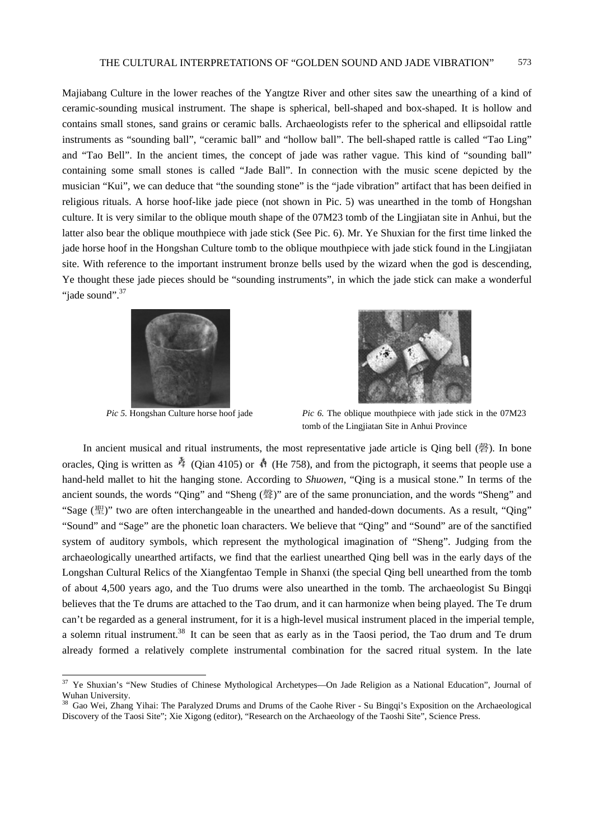Majiabang Culture in the lower reaches of the Yangtze River and other sites saw the unearthing of a kind of ceramic-sounding musical instrument. The shape is spherical, bell-shaped and box-shaped. It is hollow and contains small stones, sand grains or ceramic balls. Archaeologists refer to the spherical and ellipsoidal rattle instruments as "sounding ball", "ceramic ball" and "hollow ball". The bell-shaped rattle is called "Tao Ling" and "Tao Bell". In the ancient times, the concept of jade was rather vague. This kind of "sounding ball" containing some small stones is called "Jade Ball". In connection with the music scene depicted by the musician "Kui", we can deduce that "the sounding stone" is the "jade vibration" artifact that has been deified in religious rituals. A horse hoof-like jade piece (not shown in Pic. 5) was unearthed in the tomb of Hongshan culture. It is very similar to the oblique mouth shape of the 07M23 tomb of the Lingjiatan site in Anhui, but the latter also bear the oblique mouthpiece with jade stick (See Pic. 6). Mr. Ye Shuxian for the first time linked the jade horse hoof in the Hongshan Culture tomb to the oblique mouthpiece with jade stick found in the Lingjiatan site. With reference to the important instrument bronze bells used by the wizard when the god is descending, Ye thought these jade pieces should be "sounding instruments", in which the jade stick can make a wonderful "jade sound".<sup>37</sup>



 $\overline{a}$ 



*Pic 5.* Hongshan Culture horse hoof jade *Pic 6.* The oblique mouthpiece with jade stick in the 07M23 tomb of the Lingjiatan Site in Anhui Province

In ancient musical and ritual instruments, the most representative jade article is Qing bell  $($ *警*). In bone oracles, Qing is written as  $\stackrel{*}{\uparrow}$  (Qian 4105) or  $\stackrel{*}{\uparrow}$  (He 758), and from the pictograph, it seems that people use a hand-held mallet to hit the hanging stone. According to *Shuowen*, "Qing is a musical stone." In terms of the ancient sounds, the words "Qing" and "Sheng (聲)" are of the same pronunciation, and the words "Sheng" and "Sage (聖)" two are often interchangeable in the unearthed and handed-down documents. As a result, "Qing" "Sound" and "Sage" are the phonetic loan characters. We believe that "Qing" and "Sound" are of the sanctified system of auditory symbols, which represent the mythological imagination of "Sheng". Judging from the archaeologically unearthed artifacts, we find that the earliest unearthed Qing bell was in the early days of the Longshan Cultural Relics of the Xiangfentao Temple in Shanxi (the special Qing bell unearthed from the tomb of about 4,500 years ago, and the Tuo drums were also unearthed in the tomb. The archaeologist Su Bingqi believes that the Te drums are attached to the Tao drum, and it can harmonize when being played. The Te drum can't be regarded as a general instrument, for it is a high-level musical instrument placed in the imperial temple, a solemn ritual instrument.<sup>38</sup> It can be seen that as early as in the Taosi period, the Tao drum and Te drum already formed a relatively complete instrumental combination for the sacred ritual system. In the late

 $37$  Ye Shuxian's "New Studies of Chinese Mythological Archetypes—On Jade Religion as a National Education", Journal of Wuhan University.

<sup>38</sup> Gao Wei, Zhang Yihai: The Paralyzed Drums and Drums of the Caohe River - Su Bingqi's Exposition on the Archaeological Discovery of the Taosi Site"; Xie Xigong (editor), "Research on the Archaeology of the Taoshi Site", Science Press.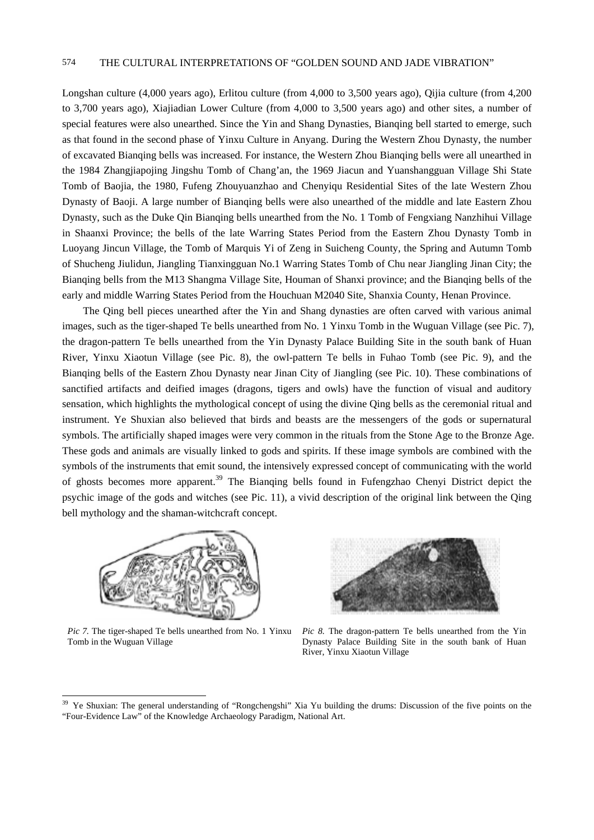Longshan culture (4,000 years ago), Erlitou culture (from 4,000 to 3,500 years ago), Qijia culture (from 4,200 to 3,700 years ago), Xiajiadian Lower Culture (from 4,000 to 3,500 years ago) and other sites, a number of special features were also unearthed. Since the Yin and Shang Dynasties, Bianqing bell started to emerge, such as that found in the second phase of Yinxu Culture in Anyang. During the Western Zhou Dynasty, the number of excavated Bianqing bells was increased. For instance, the Western Zhou Bianqing bells were all unearthed in the 1984 Zhangjiapojing Jingshu Tomb of Chang'an, the 1969 Jiacun and Yuanshangguan Village Shi State Tomb of Baojia, the 1980, Fufeng Zhouyuanzhao and Chenyiqu Residential Sites of the late Western Zhou Dynasty of Baoji. A large number of Bianqing bells were also unearthed of the middle and late Eastern Zhou Dynasty, such as the Duke Qin Bianqing bells unearthed from the No. 1 Tomb of Fengxiang Nanzhihui Village in Shaanxi Province; the bells of the late Warring States Period from the Eastern Zhou Dynasty Tomb in Luoyang Jincun Village, the Tomb of Marquis Yi of Zeng in Suicheng County, the Spring and Autumn Tomb of Shucheng Jiulidun, Jiangling Tianxingguan No.1 Warring States Tomb of Chu near Jiangling Jinan City; the Bianqing bells from the M13 Shangma Village Site, Houman of Shanxi province; and the Bianqing bells of the early and middle Warring States Period from the Houchuan M2040 Site, Shanxia County, Henan Province.

The Qing bell pieces unearthed after the Yin and Shang dynasties are often carved with various animal images, such as the tiger-shaped Te bells unearthed from No. 1 Yinxu Tomb in the Wuguan Village (see Pic. 7), the dragon-pattern Te bells unearthed from the Yin Dynasty Palace Building Site in the south bank of Huan River, Yinxu Xiaotun Village (see Pic. 8), the owl-pattern Te bells in Fuhao Tomb (see Pic. 9), and the Bianqing bells of the Eastern Zhou Dynasty near Jinan City of Jiangling (see Pic. 10). These combinations of sanctified artifacts and deified images (dragons, tigers and owls) have the function of visual and auditory sensation, which highlights the mythological concept of using the divine Qing bells as the ceremonial ritual and instrument. Ye Shuxian also believed that birds and beasts are the messengers of the gods or supernatural symbols. The artificially shaped images were very common in the rituals from the Stone Age to the Bronze Age. These gods and animals are visually linked to gods and spirits. If these image symbols are combined with the symbols of the instruments that emit sound, the intensively expressed concept of communicating with the world of ghosts becomes more apparent.<sup>39</sup> The Bianqing bells found in Fufengzhao Chenyi District depict the psychic image of the gods and witches (see Pic. 11), a vivid description of the original link between the Qing bell mythology and the shaman-witchcraft concept.



*Pic 7.* The tiger-shaped Te bells unearthed from No. 1 Yinxu *Pic 8.* The dragon-pattern Te bells unearthed from the Yin Tomb in the Wuguan Village



Dynasty Palace Building Site in the south bank of Huan River, Yinxu Xiaotun Village

<sup>&</sup>lt;sup>39</sup> Ye Shuxian: The general understanding of "Rongchengshi" Xia Yu building the drums: Discussion of the five points on the "Four-Evidence Law" of the Knowledge Archaeology Paradigm, National Art.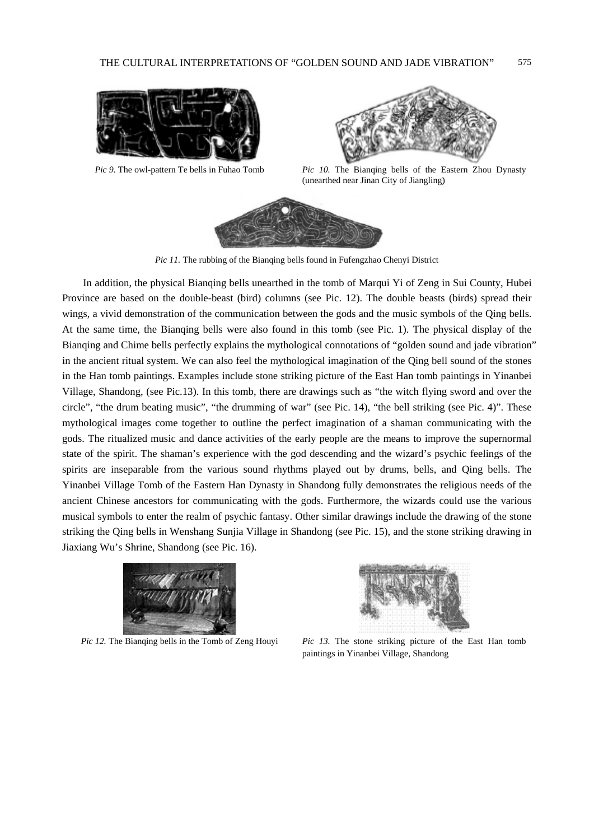



*Pic 9.* The owl-pattern Te bells in Fuhao Tomb *Pic 10.* The Bianqing bells of the Eastern Zhou Dynasty (unearthed near Jinan City of Jiangling)



*Pic 11.* The rubbing of the Bianging bells found in Fufengzhao Chenyi District

In addition, the physical Bianqing bells unearthed in the tomb of Marqui Yi of Zeng in Sui County, Hubei Province are based on the double-beast (bird) columns (see Pic. 12). The double beasts (birds) spread their wings, a vivid demonstration of the communication between the gods and the music symbols of the Qing bells. At the same time, the Bianqing bells were also found in this tomb (see Pic. 1). The physical display of the Bianqing and Chime bells perfectly explains the mythological connotations of "golden sound and jade vibration" in the ancient ritual system. We can also feel the mythological imagination of the Qing bell sound of the stones in the Han tomb paintings. Examples include stone striking picture of the East Han tomb paintings in Yinanbei Village, Shandong, (see Pic.13). In this tomb, there are drawings such as "the witch flying sword and over the circle", "the drum beating music", "the drumming of war" (see Pic. 14), "the bell striking (see Pic. 4)". These mythological images come together to outline the perfect imagination of a shaman communicating with the gods. The ritualized music and dance activities of the early people are the means to improve the supernormal state of the spirit. The shaman's experience with the god descending and the wizard's psychic feelings of the spirits are inseparable from the various sound rhythms played out by drums, bells, and Qing bells. The Yinanbei Village Tomb of the Eastern Han Dynasty in Shandong fully demonstrates the religious needs of the ancient Chinese ancestors for communicating with the gods. Furthermore, the wizards could use the various musical symbols to enter the realm of psychic fantasy. Other similar drawings include the drawing of the stone striking the Qing bells in Wenshang Sunjia Village in Shandong (see Pic. 15), and the stone striking drawing in Jiaxiang Wu's Shrine, Shandong (see Pic. 16).





*Pic 12.* The Bianqing bells in the Tomb of Zeng Houyi *Pic 13.* The stone striking picture of the East Han tomb paintings in Yinanbei Village, Shandong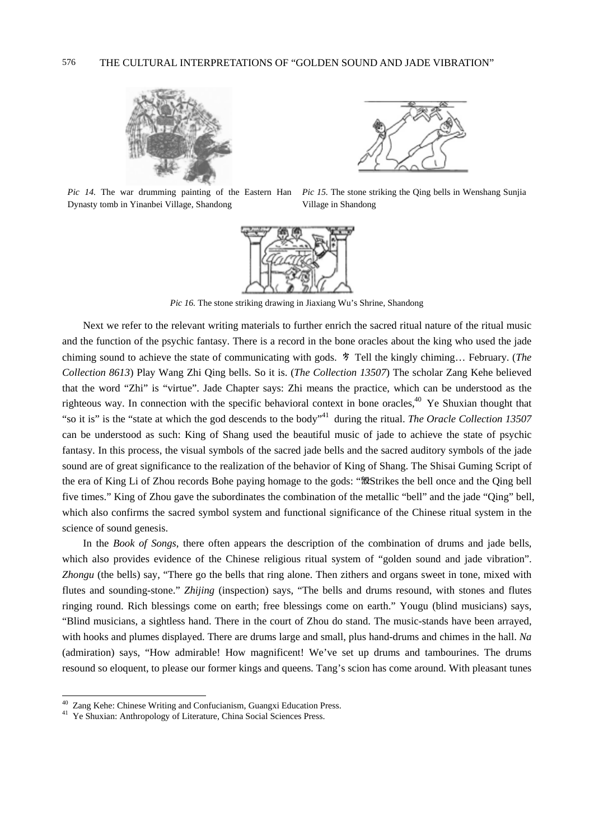



Dynasty tomb in Yinanbei Village, Shandong

*Pic 14.* The war drumming painting of the Eastern Han *Pic 15.* The stone striking the Qing bells in Wenshang Sunjia Village in Shandong



*Pic 16.* The stone striking drawing in Jiaxiang Wu's Shrine, Shandong

Next we refer to the relevant writing materials to further enrich the sacred ritual nature of the ritual music and the function of the psychic fantasy. There is a record in the bone oracles about the king who used the jade chiming sound to achieve the state of communicating with gods. Tell the kingly chiming… February. (*The Collection 8613*) Play Wang Zhi Qing bells. So it is. (*The Collection 13507*) The scholar Zang Kehe believed that the word "Zhi" is "virtue". Jade Chapter says: Zhi means the practice, which can be understood as the righteous way. In connection with the specific behavioral context in bone oracles,<sup>40</sup> Ye Shuxian thought that "so it is" is the "state at which the god descends to the body"<sup>41</sup> during the ritual. *The Oracle Collection 13507* can be understood as such: King of Shang used the beautiful music of jade to achieve the state of psychic fantasy. In this process, the visual symbols of the sacred jade bells and the sacred auditory symbols of the jade sound are of great significance to the realization of the behavior of King of Shang. The Shisai Guming Script of the era of King Li of Zhou records Bohe paying homage to the gods: " $R$ Strikes the bell once and the Qing bell five times." King of Zhou gave the subordinates the combination of the metallic "bell" and the jade "Qing" bell, which also confirms the sacred symbol system and functional significance of the Chinese ritual system in the science of sound genesis.

In the *Book of Songs*, there often appears the description of the combination of drums and jade bells, which also provides evidence of the Chinese religious ritual system of "golden sound and jade vibration". *Zhongu* (the bells) say, "There go the bells that ring alone. Then zithers and organs sweet in tone, mixed with flutes and sounding-stone." *Zhijing* (inspection) says, "The bells and drums resound, with stones and flutes ringing round. Rich blessings come on earth; free blessings come on earth." Yougu (blind musicians) says, "Blind musicians, a sightless hand. There in the court of Zhou do stand. The music-stands have been arrayed, with hooks and plumes displayed. There are drums large and small, plus hand-drums and chimes in the hall. *Na* (admiration) says, "How admirable! How magnificent! We've set up drums and tambourines. The drums resound so eloquent, to please our former kings and queens. Tang's scion has come around. With pleasant tunes

<sup>&</sup>lt;sup>40</sup> Zang Kehe: Chinese Writing and Confucianism, Guangxi Education Press.

<sup>&</sup>lt;sup>41</sup> Ye Shuxian: Anthropology of Literature, China Social Sciences Press.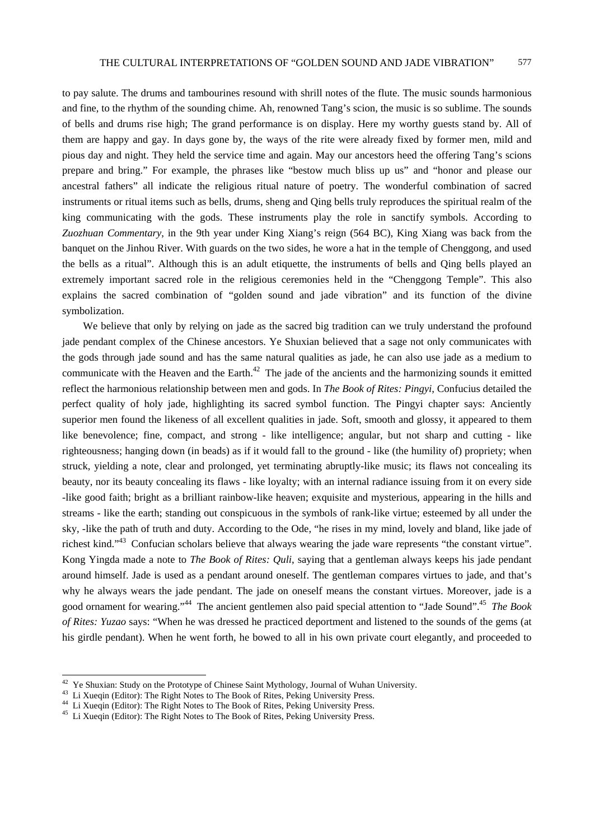to pay salute. The drums and tambourines resound with shrill notes of the flute. The music sounds harmonious and fine, to the rhythm of the sounding chime. Ah, renowned Tang's scion, the music is so sublime. The sounds of bells and drums rise high; The grand performance is on display. Here my worthy guests stand by. All of them are happy and gay. In days gone by, the ways of the rite were already fixed by former men, mild and pious day and night. They held the service time and again. May our ancestors heed the offering Tang's scions prepare and bring." For example, the phrases like "bestow much bliss up us" and "honor and please our ancestral fathers" all indicate the religious ritual nature of poetry. The wonderful combination of sacred instruments or ritual items such as bells, drums, sheng and Qing bells truly reproduces the spiritual realm of the king communicating with the gods. These instruments play the role in sanctify symbols. According to *Zuozhuan Commentary*, in the 9th year under King Xiang's reign (564 BC), King Xiang was back from the banquet on the Jinhou River. With guards on the two sides, he wore a hat in the temple of Chenggong, and used the bells as a ritual". Although this is an adult etiquette, the instruments of bells and Qing bells played an extremely important sacred role in the religious ceremonies held in the "Chenggong Temple". This also explains the sacred combination of "golden sound and jade vibration" and its function of the divine symbolization.

We believe that only by relying on jade as the sacred big tradition can we truly understand the profound jade pendant complex of the Chinese ancestors. Ye Shuxian believed that a sage not only communicates with the gods through jade sound and has the same natural qualities as jade, he can also use jade as a medium to communicate with the Heaven and the Earth.<sup> $42$ </sup> The jade of the ancients and the harmonizing sounds it emitted reflect the harmonious relationship between men and gods. In *The Book of Rites: Pingyi*, Confucius detailed the perfect quality of holy jade, highlighting its sacred symbol function. The Pingyi chapter says: Anciently superior men found the likeness of all excellent qualities in jade. Soft, smooth and glossy, it appeared to them like benevolence; fine, compact, and strong - like intelligence; angular, but not sharp and cutting - like righteousness; hanging down (in beads) as if it would fall to the ground - like (the humility of) propriety; when struck, yielding a note, clear and prolonged, yet terminating abruptly-like music; its flaws not concealing its beauty, nor its beauty concealing its flaws - like loyalty; with an internal radiance issuing from it on every side -like good faith; bright as a brilliant rainbow-like heaven; exquisite and mysterious, appearing in the hills and streams - like the earth; standing out conspicuous in the symbols of rank-like virtue; esteemed by all under the sky, -like the path of truth and duty. According to the Ode, "he rises in my mind, lovely and bland, like jade of richest kind."<sup>43</sup> Confucian scholars believe that always wearing the jade ware represents "the constant virtue". Kong Yingda made a note to *The Book of Rites: Quli*, saying that a gentleman always keeps his jade pendant around himself. Jade is used as a pendant around oneself. The gentleman compares virtues to jade, and that's why he always wears the jade pendant. The jade on oneself means the constant virtues. Moreover, jade is a good ornament for wearing."44 The ancient gentlemen also paid special attention to "Jade Sound".45 *The Book of Rites: Yuzao* says: "When he was dressed he practiced deportment and listened to the sounds of the gems (at his girdle pendant). When he went forth, he bowed to all in his own private court elegantly, and proceeded to

 $42$  Ye Shuxian: Study on the Prototype of Chinese Saint Mythology, Journal of Wuhan University.

<sup>&</sup>lt;sup>43</sup> Li Xueqin (Editor): The Right Notes to The Book of Rites, Peking University Press.<br><sup>44</sup> Li Xueqin (Editor): The Right Notes to The Book of Rites, Peking University Press.<br><sup>45</sup> Li Xueqin (Editor): The Right Notes to Th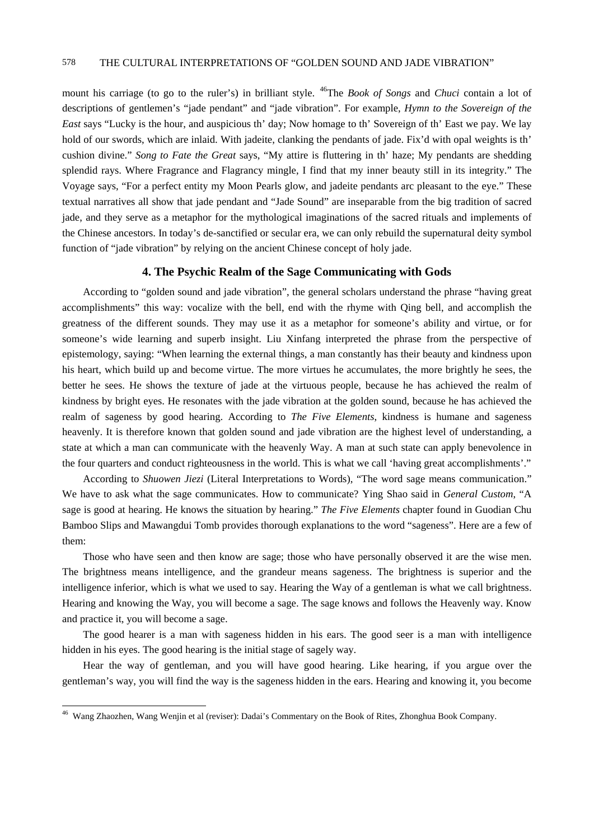mount his carriage (to go to the ruler's) in brilliant style. 46The *Book of Songs* and *Chuci* contain a lot of descriptions of gentlemen's "jade pendant" and "jade vibration". For example, *Hymn to the Sovereign of the East* says "Lucky is the hour, and auspicious th' day; Now homage to th' Sovereign of th' East we pay. We lay hold of our swords, which are inlaid. With jadeite, clanking the pendants of jade. Fix'd with opal weights is th' cushion divine." *Song to Fate the Great* says, "My attire is fluttering in th' haze; My pendants are shedding splendid rays. Where Fragrance and Flagrancy mingle, I find that my inner beauty still in its integrity." The Voyage says, "For a perfect entity my Moon Pearls glow, and jadeite pendants arc pleasant to the eye." These textual narratives all show that jade pendant and "Jade Sound" are inseparable from the big tradition of sacred jade, and they serve as a metaphor for the mythological imaginations of the sacred rituals and implements of the Chinese ancestors. In today's de-sanctified or secular era, we can only rebuild the supernatural deity symbol function of "jade vibration" by relying on the ancient Chinese concept of holy jade.

#### **4. The Psychic Realm of the Sage Communicating with Gods**

According to "golden sound and jade vibration", the general scholars understand the phrase "having great accomplishments" this way: vocalize with the bell, end with the rhyme with Qing bell, and accomplish the greatness of the different sounds. They may use it as a metaphor for someone's ability and virtue, or for someone's wide learning and superb insight. Liu Xinfang interpreted the phrase from the perspective of epistemology, saying: "When learning the external things, a man constantly has their beauty and kindness upon his heart, which build up and become virtue. The more virtues he accumulates, the more brightly he sees, the better he sees. He shows the texture of jade at the virtuous people, because he has achieved the realm of kindness by bright eyes. He resonates with the jade vibration at the golden sound, because he has achieved the realm of sageness by good hearing. According to *The Five Elements*, kindness is humane and sageness heavenly. It is therefore known that golden sound and jade vibration are the highest level of understanding, a state at which a man can communicate with the heavenly Way. A man at such state can apply benevolence in the four quarters and conduct righteousness in the world. This is what we call 'having great accomplishments'."

According to *Shuowen Jiezi* (Literal Interpretations to Words), "The word sage means communication." We have to ask what the sage communicates. How to communicate? Ying Shao said in *General Custom*, "A sage is good at hearing. He knows the situation by hearing." *The Five Elements* chapter found in Guodian Chu Bamboo Slips and Mawangdui Tomb provides thorough explanations to the word "sageness". Here are a few of them:

Those who have seen and then know are sage; those who have personally observed it are the wise men. The brightness means intelligence, and the grandeur means sageness. The brightness is superior and the intelligence inferior, which is what we used to say. Hearing the Way of a gentleman is what we call brightness. Hearing and knowing the Way, you will become a sage. The sage knows and follows the Heavenly way. Know and practice it, you will become a sage.

The good hearer is a man with sageness hidden in his ears. The good seer is a man with intelligence hidden in his eyes. The good hearing is the initial stage of sagely way.

Hear the way of gentleman, and you will have good hearing. Like hearing, if you argue over the gentleman's way, you will find the way is the sageness hidden in the ears. Hearing and knowing it, you become

<sup>&</sup>lt;sup>46</sup> Wang Zhaozhen, Wang Wenjin et al (reviser): Dadai's Commentary on the Book of Rites, Zhonghua Book Company.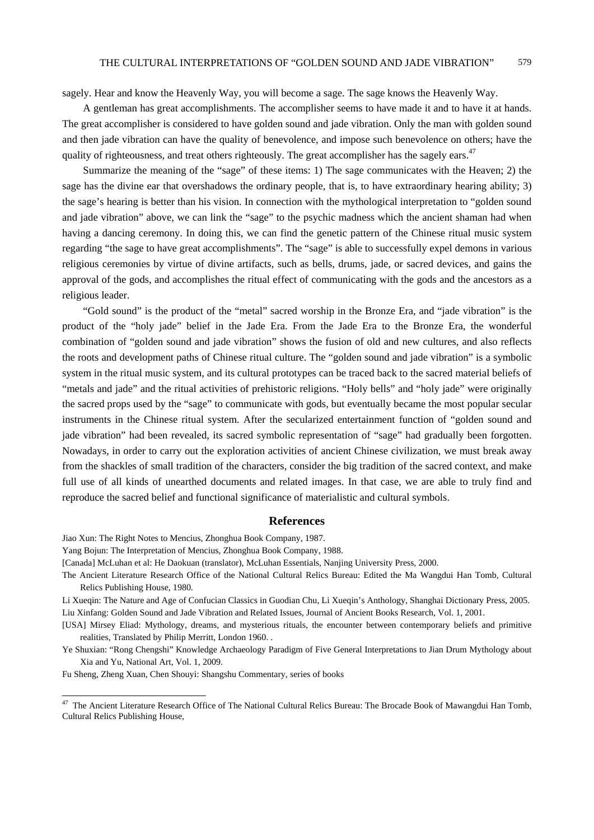sagely. Hear and know the Heavenly Way, you will become a sage. The sage knows the Heavenly Way.

A gentleman has great accomplishments. The accomplisher seems to have made it and to have it at hands. The great accomplisher is considered to have golden sound and jade vibration. Only the man with golden sound and then jade vibration can have the quality of benevolence, and impose such benevolence on others; have the quality of righteousness, and treat others righteously. The great accomplisher has the sagely ears.<sup>47</sup>

Summarize the meaning of the "sage" of these items: 1) The sage communicates with the Heaven; 2) the sage has the divine ear that overshadows the ordinary people, that is, to have extraordinary hearing ability; 3) the sage's hearing is better than his vision. In connection with the mythological interpretation to "golden sound and jade vibration" above, we can link the "sage" to the psychic madness which the ancient shaman had when having a dancing ceremony. In doing this, we can find the genetic pattern of the Chinese ritual music system regarding "the sage to have great accomplishments". The "sage" is able to successfully expel demons in various religious ceremonies by virtue of divine artifacts, such as bells, drums, jade, or sacred devices, and gains the approval of the gods, and accomplishes the ritual effect of communicating with the gods and the ancestors as a religious leader.

"Gold sound" is the product of the "metal" sacred worship in the Bronze Era, and "jade vibration" is the product of the "holy jade" belief in the Jade Era. From the Jade Era to the Bronze Era, the wonderful combination of "golden sound and jade vibration" shows the fusion of old and new cultures, and also reflects the roots and development paths of Chinese ritual culture. The "golden sound and jade vibration" is a symbolic system in the ritual music system, and its cultural prototypes can be traced back to the sacred material beliefs of "metals and jade" and the ritual activities of prehistoric religions. "Holy bells" and "holy jade" were originally the sacred props used by the "sage" to communicate with gods, but eventually became the most popular secular instruments in the Chinese ritual system. After the secularized entertainment function of "golden sound and jade vibration" had been revealed, its sacred symbolic representation of "sage" had gradually been forgotten. Nowadays, in order to carry out the exploration activities of ancient Chinese civilization, we must break away from the shackles of small tradition of the characters, consider the big tradition of the sacred context, and make full use of all kinds of unearthed documents and related images. In that case, we are able to truly find and reproduce the sacred belief and functional significance of materialistic and cultural symbols.

#### **References**

Jiao Xun: The Right Notes to Mencius, Zhonghua Book Company, 1987.

Yang Bojun: The Interpretation of Mencius, Zhonghua Book Company, 1988.

[Canada] McLuhan et al: He Daokuan (translator), McLuhan Essentials, Nanjing University Press, 2000.

- The Ancient Literature Research Office of the National Cultural Relics Bureau: Edited the Ma Wangdui Han Tomb, Cultural Relics Publishing House, 1980.
- Li Xueqin: The Nature and Age of Confucian Classics in Guodian Chu, Li Xueqin's Anthology, Shanghai Dictionary Press, 2005. Liu Xinfang: Golden Sound and Jade Vibration and Related Issues, Journal of Ancient Books Research, Vol. 1, 2001.

[USA] Mirsey Eliad: Mythology, dreams, and mysterious rituals, the encounter between contemporary beliefs and primitive realities, Translated by Philip Merritt, London 1960. .

Ye Shuxian: "Rong Chengshi" Knowledge Archaeology Paradigm of Five General Interpretations to Jian Drum Mythology about Xia and Yu, National Art, Vol. 1, 2009.

Fu Sheng, Zheng Xuan, Chen Shouyi: Shangshu Commentary, series of books

 $^{47}$  The Ancient Literature Research Office of The National Cultural Relics Bureau: The Brocade Book of Mawangdui Han Tomb, Cultural Relics Publishing House,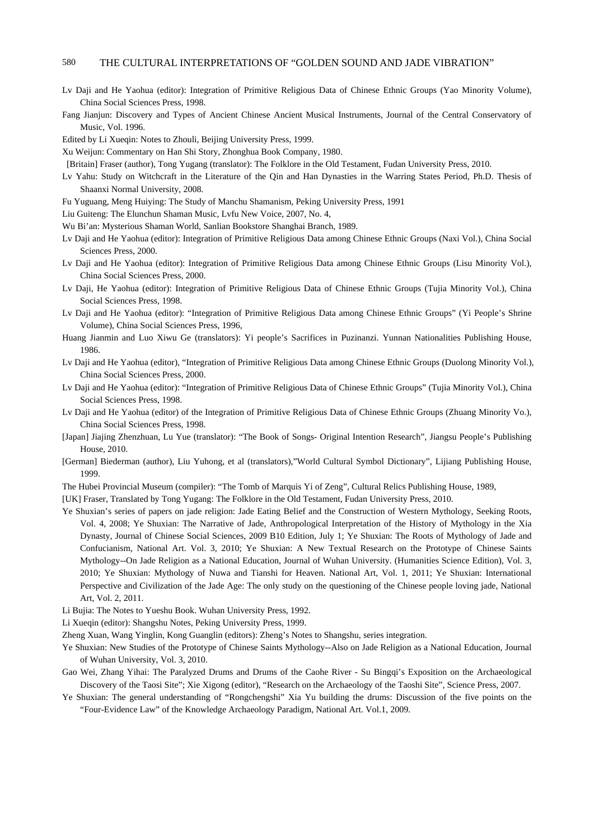- Lv Daji and He Yaohua (editor): Integration of Primitive Religious Data of Chinese Ethnic Groups (Yao Minority Volume), China Social Sciences Press, 1998.
- Fang Jianjun: Discovery and Types of Ancient Chinese Ancient Musical Instruments, Journal of the Central Conservatory of Music, Vol. 1996.
- Edited by Li Xueqin: Notes to Zhouli, Beijing University Press, 1999.
- Xu Weijun: Commentary on Han Shi Story, Zhonghua Book Company, 1980.
- [Britain] Fraser (author), Tong Yugang (translator): The Folklore in the Old Testament, Fudan University Press, 2010.
- Lv Yahu: Study on Witchcraft in the Literature of the Qin and Han Dynasties in the Warring States Period, Ph.D. Thesis of Shaanxi Normal University, 2008.
- Fu Yuguang, Meng Huiying: The Study of Manchu Shamanism, Peking University Press, 1991
- Liu Guiteng: The Elunchun Shaman Music, Lvfu New Voice, 2007, No. 4,
- Wu Bi'an: Mysterious Shaman World, Sanlian Bookstore Shanghai Branch, 1989.
- Lv Daji and He Yaohua (editor): Integration of Primitive Religious Data among Chinese Ethnic Groups (Naxi Vol.), China Social Sciences Press, 2000.
- Lv Daji and He Yaohua (editor): Integration of Primitive Religious Data among Chinese Ethnic Groups (Lisu Minority Vol.), China Social Sciences Press, 2000.
- Lv Daji, He Yaohua (editor): Integration of Primitive Religious Data of Chinese Ethnic Groups (Tujia Minority Vol.), China Social Sciences Press, 1998.
- Lv Daji and He Yaohua (editor): "Integration of Primitive Religious Data among Chinese Ethnic Groups" (Yi People's Shrine Volume), China Social Sciences Press, 1996,
- Huang Jianmin and Luo Xiwu Ge (translators): Yi people's Sacrifices in Puzinanzi. Yunnan Nationalities Publishing House, 1986.
- Lv Daji and He Yaohua (editor), "Integration of Primitive Religious Data among Chinese Ethnic Groups (Duolong Minority Vol.), China Social Sciences Press, 2000.
- Lv Daji and He Yaohua (editor): "Integration of Primitive Religious Data of Chinese Ethnic Groups" (Tujia Minority Vol.), China Social Sciences Press, 1998.
- Lv Daji and He Yaohua (editor) of the Integration of Primitive Religious Data of Chinese Ethnic Groups (Zhuang Minority Vo.), China Social Sciences Press, 1998.
- [Japan] Jiajing Zhenzhuan, Lu Yue (translator): "The Book of Songs- Original Intention Research", Jiangsu People's Publishing House, 2010.
- [German] Biederman (author), Liu Yuhong, et al (translators),"World Cultural Symbol Dictionary", Lijiang Publishing House, 1999.
- The Hubei Provincial Museum (compiler): "The Tomb of Marquis Yi of Zeng", Cultural Relics Publishing House, 1989,
- [UK] Fraser, Translated by Tong Yugang: The Folklore in the Old Testament, Fudan University Press, 2010.
- Ye Shuxian's series of papers on jade religion: Jade Eating Belief and the Construction of Western Mythology, Seeking Roots, Vol. 4, 2008; Ye Shuxian: The Narrative of Jade, Anthropological Interpretation of the History of Mythology in the Xia Dynasty, Journal of Chinese Social Sciences, 2009 B10 Edition, July 1; Ye Shuxian: The Roots of Mythology of Jade and Confucianism, National Art. Vol. 3, 2010; Ye Shuxian: A New Textual Research on the Prototype of Chinese Saints Mythology--On Jade Religion as a National Education, Journal of Wuhan University. (Humanities Science Edition), Vol. 3, 2010; Ye Shuxian: Mythology of Nuwa and Tianshi for Heaven. National Art, Vol. 1, 2011; Ye Shuxian: International Perspective and Civilization of the Jade Age: The only study on the questioning of the Chinese people loving jade, National Art, Vol. 2, 2011.
- Li Bujia: The Notes to Yueshu Book. Wuhan University Press, 1992.
- Li Xueqin (editor): Shangshu Notes, Peking University Press, 1999.
- Zheng Xuan, Wang Yinglin, Kong Guanglin (editors): Zheng's Notes to Shangshu, series integration.
- Ye Shuxian: New Studies of the Prototype of Chinese Saints Mythology--Also on Jade Religion as a National Education, Journal of Wuhan University, Vol. 3, 2010.
- Gao Wei, Zhang Yihai: The Paralyzed Drums and Drums of the Caohe River Su Bingqi's Exposition on the Archaeological Discovery of the Taosi Site"; Xie Xigong (editor), "Research on the Archaeology of the Taoshi Site", Science Press, 2007.
- Ye Shuxian: The general understanding of "Rongchengshi" Xia Yu building the drums: Discussion of the five points on the "Four-Evidence Law" of the Knowledge Archaeology Paradigm, National Art. Vol.1, 2009.